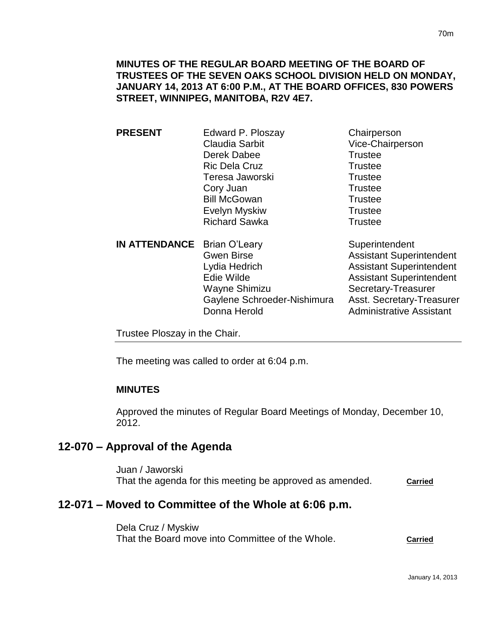## **MINUTES OF THE REGULAR BOARD MEETING OF THE BOARD OF TRUSTEES OF THE SEVEN OAKS SCHOOL DIVISION HELD ON MONDAY, JANUARY 14, 2013 AT 6:00 P.M., AT THE BOARD OFFICES, 830 POWERS STREET, WINNIPEG, MANITOBA, R2V 4E7.**

| <b>PRESENT</b>                     | Edward P. Ploszay     | Chairperson                                                                      |
|------------------------------------|-----------------------|----------------------------------------------------------------------------------|
|                                    | <b>Claudia Sarbit</b> | Vice-Chairperson                                                                 |
|                                    | Derek Dabee           | <b>Trustee</b>                                                                   |
|                                    | <b>Ric Dela Cruz</b>  | <b>Trustee</b>                                                                   |
|                                    | Teresa Jaworski       | <b>Trustee</b>                                                                   |
|                                    | Cory Juan             | <b>Trustee</b>                                                                   |
|                                    | <b>Bill McGowan</b>   | <b>Trustee</b>                                                                   |
|                                    | Evelyn Myskiw         | <b>Trustee</b>                                                                   |
|                                    | <b>Richard Sawka</b>  | <b>Trustee</b>                                                                   |
| <b>IN ATTENDANCE</b> Brian O'Leary |                       | Superintendent                                                                   |
|                                    | <b>Gwen Birse</b>     | <b>Assistant Superintendent</b>                                                  |
|                                    | Lydia Hedrich         | <b>Assistant Superintendent</b>                                                  |
|                                    | - 1. 101. L           | $\mathbf{A}$ . The state of $\mathbf{A}$ is a state of the state of $\mathbf{A}$ |

Edie Wilde **Assistant Superintendent** Wayne Shimizu Secretary-Treasurer Gaylene Schroeder-Nishimura Asst. Secretary-Treasurer Donna Herold **Administrative Assistant** 

Trustee Ploszay in the Chair.

The meeting was called to order at 6:04 p.m.

## **MINUTES**

Approved the minutes of Regular Board Meetings of Monday, December 10, 2012.

## **12-070 – Approval of the Agenda**

Juan / Jaworski That the agenda for this meeting be approved as amended. **Carried**

# **12-071 – Moved to Committee of the Whole at 6:06 p.m.**

Dela Cruz / Myskiw That the Board move into Committee of the Whole. **Carried**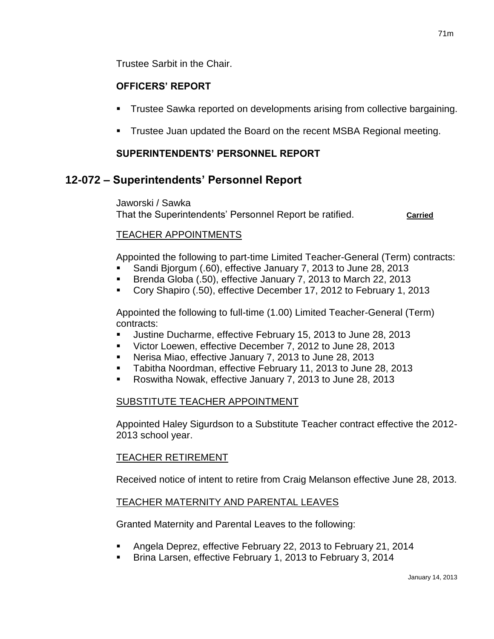Trustee Sarbit in the Chair.

## **OFFICERS' REPORT**

- Trustee Sawka reported on developments arising from collective bargaining.
- Trustee Juan updated the Board on the recent MSBA Regional meeting.

## **SUPERINTENDENTS' PERSONNEL REPORT**

## **12-072 – Superintendents' Personnel Report**

Jaworski / Sawka That the Superintendents' Personnel Report be ratified. **Carried**

## TEACHER APPOINTMENTS

Appointed the following to part-time Limited Teacher-General (Term) contracts:

- Sandi Bjorgum (.60), effective January 7, 2013 to June 28, 2013
- Brenda Globa (.50), effective January 7, 2013 to March 22, 2013
- Cory Shapiro (.50), effective December 17, 2012 to February 1, 2013

Appointed the following to full-time (1.00) Limited Teacher-General (Term) contracts:

- Justine Ducharme, effective February 15, 2013 to June 28, 2013
- **Victor Loewen, effective December 7, 2012 to June 28, 2013**
- Nerisa Miao, effective January 7, 2013 to June 28, 2013
- **Tabitha Noordman, effective February 11, 2013 to June 28, 2013**
- Roswitha Nowak, effective January 7, 2013 to June 28, 2013

## SUBSTITUTE TEACHER APPOINTMENT

Appointed Haley Sigurdson to a Substitute Teacher contract effective the 2012- 2013 school year.

## TEACHER RETIREMENT

Received notice of intent to retire from Craig Melanson effective June 28, 2013.

## TEACHER MATERNITY AND PARENTAL LEAVES

Granted Maternity and Parental Leaves to the following:

- Angela Deprez, effective February 22, 2013 to February 21, 2014
- Brina Larsen, effective February 1, 2013 to February 3, 2014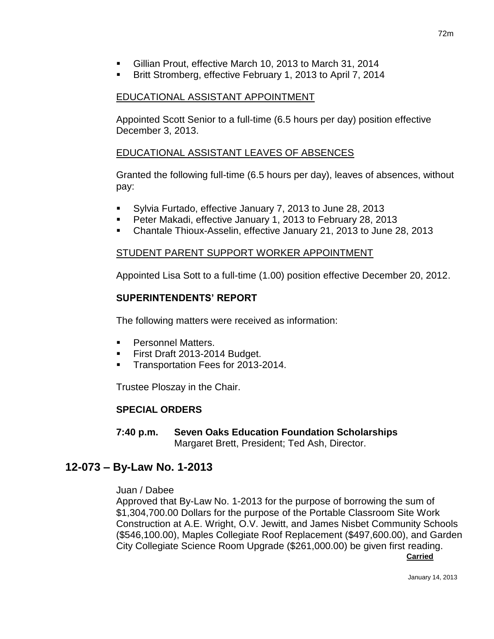- Gillian Prout, effective March 10, 2013 to March 31, 2014
- Britt Stromberg, effective February 1, 2013 to April 7, 2014

## EDUCATIONAL ASSISTANT APPOINTMENT

Appointed Scott Senior to a full-time (6.5 hours per day) position effective December 3, 2013.

## EDUCATIONAL ASSISTANT LEAVES OF ABSENCES

Granted the following full-time (6.5 hours per day), leaves of absences, without pay:

- Sylvia Furtado, effective January 7, 2013 to June 28, 2013
- Peter Makadi, effective January 1, 2013 to February 28, 2013
- Chantale Thioux-Asselin, effective January 21, 2013 to June 28, 2013

## STUDENT PARENT SUPPORT WORKER APPOINTMENT

Appointed Lisa Sott to a full-time (1.00) position effective December 20, 2012.

## **SUPERINTENDENTS' REPORT**

The following matters were received as information:

- **Personnel Matters.**
- First Draft 2013-2014 Budget.
- **Transportation Fees for 2013-2014.**

Trustee Ploszay in the Chair.

## **SPECIAL ORDERS**

**7:40 p.m. Seven Oaks Education Foundation Scholarships** Margaret Brett, President; Ted Ash, Director.

# **12-073 – By-Law No. 1-2013**

#### Juan / Dabee

Approved that By-Law No. 1-2013 for the purpose of borrowing the sum of \$1,304,700.00 Dollars for the purpose of the Portable Classroom Site Work Construction at A.E. Wright, O.V. Jewitt, and James Nisbet Community Schools (\$546,100.00), Maples Collegiate Roof Replacement (\$497,600.00), and Garden City Collegiate Science Room Upgrade (\$261,000.00) be given first reading. **Carried**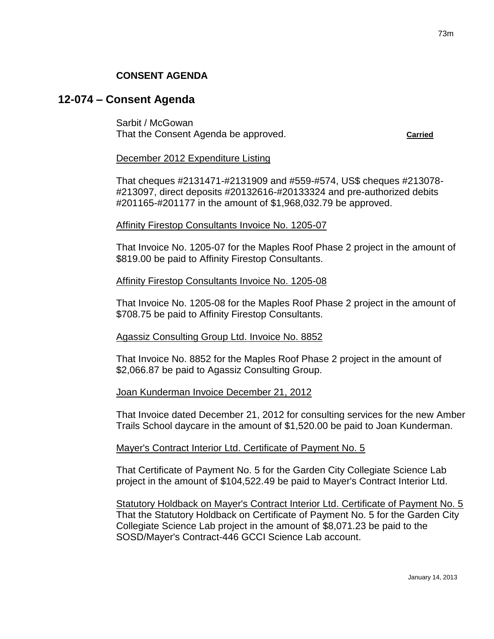## **CONSENT AGENDA**

## **12-074 – Consent Agenda**

Sarbit / McGowan That the Consent Agenda be approved. **Carried**

#### December 2012 Expenditure Listing

That cheques #2131471-#2131909 and #559-#574, US\$ cheques #213078- #213097, direct deposits #20132616-#20133324 and pre-authorized debits #201165-#201177 in the amount of \$1,968,032.79 be approved.

#### Affinity Firestop Consultants Invoice No. 1205-07

That Invoice No. 1205-07 for the Maples Roof Phase 2 project in the amount of \$819.00 be paid to Affinity Firestop Consultants.

#### Affinity Firestop Consultants Invoice No. 1205-08

That Invoice No. 1205-08 for the Maples Roof Phase 2 project in the amount of \$708.75 be paid to Affinity Firestop Consultants.

#### Agassiz Consulting Group Ltd. Invoice No. 8852

That Invoice No. 8852 for the Maples Roof Phase 2 project in the amount of \$2,066.87 be paid to Agassiz Consulting Group.

#### Joan Kunderman Invoice December 21, 2012

That Invoice dated December 21, 2012 for consulting services for the new Amber Trails School daycare in the amount of \$1,520.00 be paid to Joan Kunderman.

#### Mayer's Contract Interior Ltd. Certificate of Payment No. 5

That Certificate of Payment No. 5 for the Garden City Collegiate Science Lab project in the amount of \$104,522.49 be paid to Mayer's Contract Interior Ltd.

Statutory Holdback on Mayer's Contract Interior Ltd. Certificate of Payment No. 5 That the Statutory Holdback on Certificate of Payment No. 5 for the Garden City Collegiate Science Lab project in the amount of \$8,071.23 be paid to the SOSD/Mayer's Contract-446 GCCI Science Lab account.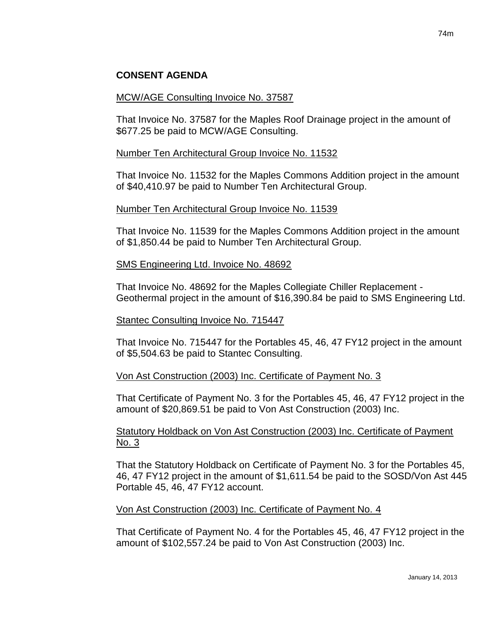## **CONSENT AGENDA**

#### MCW/AGE Consulting Invoice No. 37587

That Invoice No. 37587 for the Maples Roof Drainage project in the amount of \$677.25 be paid to MCW/AGE Consulting.

### Number Ten Architectural Group Invoice No. 11532

That Invoice No. 11532 for the Maples Commons Addition project in the amount of \$40,410.97 be paid to Number Ten Architectural Group.

### Number Ten Architectural Group Invoice No. 11539

That Invoice No. 11539 for the Maples Commons Addition project in the amount of \$1,850.44 be paid to Number Ten Architectural Group.

#### SMS Engineering Ltd. Invoice No. 48692

That Invoice No. 48692 for the Maples Collegiate Chiller Replacement - Geothermal project in the amount of \$16,390.84 be paid to SMS Engineering Ltd.

#### Stantec Consulting Invoice No. 715447

That Invoice No. 715447 for the Portables 45, 46, 47 FY12 project in the amount of \$5,504.63 be paid to Stantec Consulting.

## Von Ast Construction (2003) Inc. Certificate of Payment No. 3

That Certificate of Payment No. 3 for the Portables 45, 46, 47 FY12 project in the amount of \$20,869.51 be paid to Von Ast Construction (2003) Inc.

## Statutory Holdback on Von Ast Construction (2003) Inc. Certificate of Payment No. 3

That the Statutory Holdback on Certificate of Payment No. 3 for the Portables 45, 46, 47 FY12 project in the amount of \$1,611.54 be paid to the SOSD/Von Ast 445 Portable 45, 46, 47 FY12 account.

#### Von Ast Construction (2003) Inc. Certificate of Payment No. 4

That Certificate of Payment No. 4 for the Portables 45, 46, 47 FY12 project in the amount of \$102,557.24 be paid to Von Ast Construction (2003) Inc.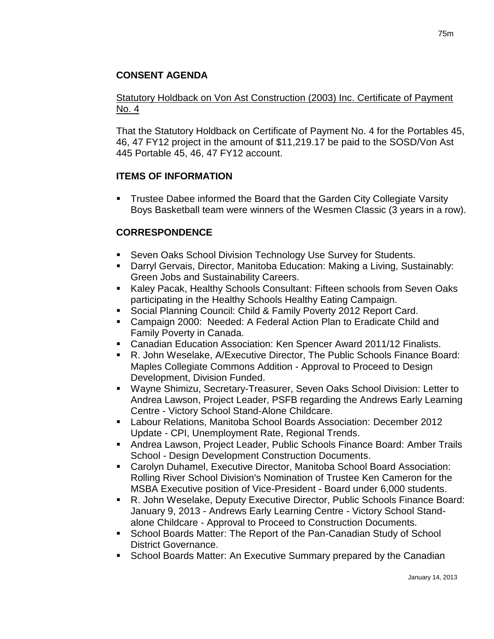## Statutory Holdback on Von Ast Construction (2003) Inc. Certificate of Payment No. 4

That the Statutory Holdback on Certificate of Payment No. 4 for the Portables 45, 46, 47 FY12 project in the amount of \$11,219.17 be paid to the SOSD/Von Ast 445 Portable 45, 46, 47 FY12 account.

## **ITEMS OF INFORMATION**

 Trustee Dabee informed the Board that the Garden City Collegiate Varsity Boys Basketball team were winners of the Wesmen Classic (3 years in a row).

# **CORRESPONDENCE**

- Seven Oaks School Division Technology Use Survey for Students.
- Darryl Gervais, Director, Manitoba Education: Making a Living, Sustainably: Green Jobs and Sustainability Careers.
- Kaley Pacak, Healthy Schools Consultant: Fifteen schools from Seven Oaks participating in the Healthy Schools Healthy Eating Campaign.
- **Social Planning Council: Child & Family Poverty 2012 Report Card.**
- Campaign 2000: Needed: A Federal Action Plan to Eradicate Child and Family Poverty in Canada.
- Canadian Education Association: Ken Spencer Award 2011/12 Finalists.
- R. John Weselake, A/Executive Director, The Public Schools Finance Board: Maples Collegiate Commons Addition - Approval to Proceed to Design Development, Division Funded.
- Wayne Shimizu, Secretary-Treasurer, Seven Oaks School Division: Letter to Andrea Lawson, Project Leader, PSFB regarding the Andrews Early Learning Centre - Victory School Stand-Alone Childcare.
- Labour Relations, Manitoba School Boards Association: December 2012 Update - CPI, Unemployment Rate, Regional Trends.
- Andrea Lawson, Project Leader, Public Schools Finance Board: Amber Trails School - Design Development Construction Documents.
- Carolyn Duhamel, Executive Director, Manitoba School Board Association: Rolling River School Division's Nomination of Trustee Ken Cameron for the MSBA Executive position of Vice-President - Board under 6,000 students.
- R. John Weselake, Deputy Executive Director, Public Schools Finance Board: January 9, 2013 - Andrews Early Learning Centre - Victory School Standalone Childcare - Approval to Proceed to Construction Documents.
- School Boards Matter: The Report of the Pan-Canadian Study of School District Governance.
- **School Boards Matter: An Executive Summary prepared by the Canadian**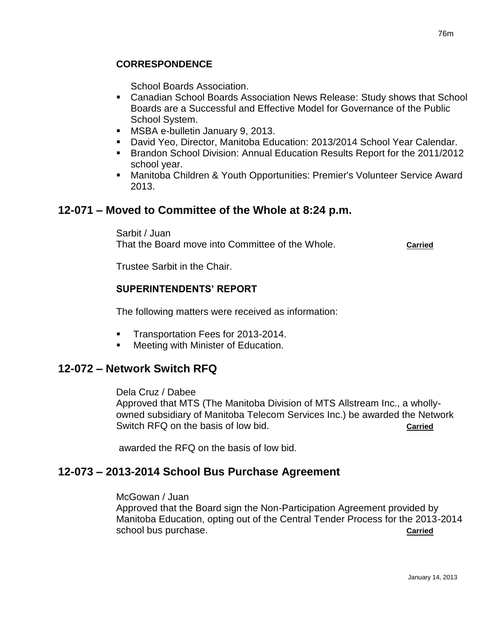## **CORRESPONDENCE**

School Boards Association.

- Canadian School Boards Association News Release: Study shows that School Boards are a Successful and Effective Model for Governance of the Public School System.
- **MSBA e-bulletin January 9, 2013.**
- David Yeo, Director, Manitoba Education: 2013/2014 School Year Calendar.
- **Brandon School Division: Annual Education Results Report for the 2011/2012** school year.
- Manitoba Children & Youth Opportunities: Premier's Volunteer Service Award 2013.

# **12-071 – Moved to Committee of the Whole at 8:24 p.m.**

Sarbit / Juan

That the Board move into Committee of the Whole. **Carried**

Trustee Sarbit in the Chair.

## **SUPERINTENDENTS' REPORT**

The following matters were received as information:

- Transportation Fees for 2013-2014.
- Meeting with Minister of Education.

# **12-072 – Network Switch RFQ**

Dela Cruz / Dabee

Approved that MTS (The Manitoba Division of MTS Allstream Inc., a whollyowned subsidiary of Manitoba Telecom Services Inc.) be awarded the Network Switch RFQ on the basis of low bid. **Carried** Carried

awarded the RFQ on the basis of low bid.

# **12-073 – 2013-2014 School Bus Purchase Agreement**

McGowan / Juan

Approved that the Board sign the Non-Participation Agreement provided by Manitoba Education, opting out of the Central Tender Process for the 2013-2014 school bus purchase. **Carried Carried Carried Carried Carried**